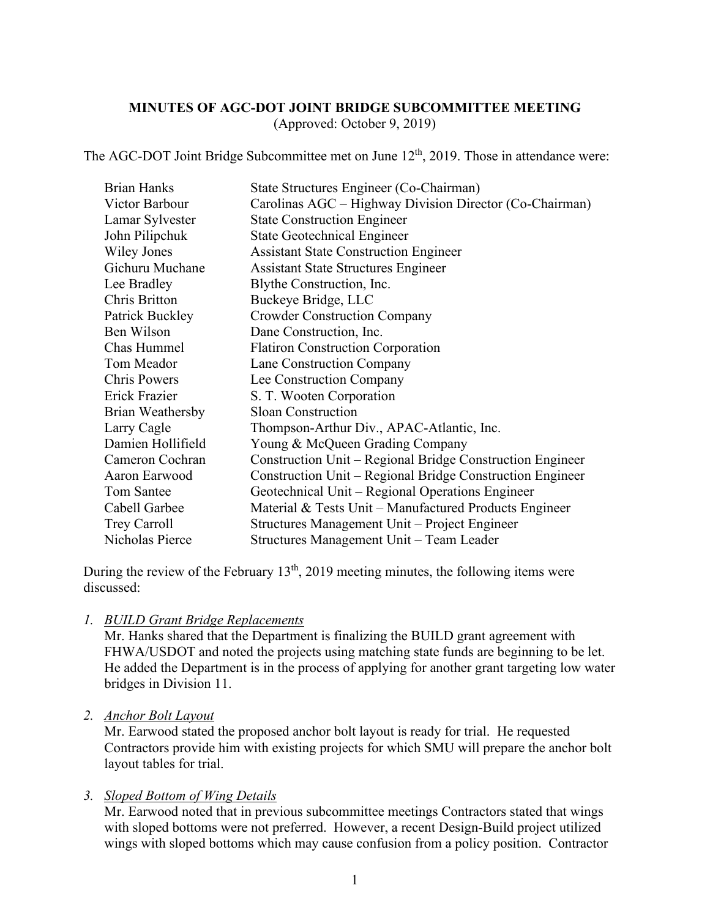### **MINUTES OF AGC-DOT JOINT BRIDGE SUBCOMMITTEE MEETING** (Approved: October 9, 2019)

The AGC-DOT Joint Bridge Subcommittee met on June  $12<sup>th</sup>$ , 2019. Those in attendance were:

| <b>Brian Hanks</b>  | State Structures Engineer (Co-Chairman)                   |
|---------------------|-----------------------------------------------------------|
| Victor Barbour      | Carolinas AGC – Highway Division Director (Co-Chairman)   |
| Lamar Sylvester     | <b>State Construction Engineer</b>                        |
| John Pilipchuk      | <b>State Geotechnical Engineer</b>                        |
| Wiley Jones         | <b>Assistant State Construction Engineer</b>              |
| Gichuru Muchane     | <b>Assistant State Structures Engineer</b>                |
| Lee Bradley         | Blythe Construction, Inc.                                 |
| Chris Britton       | Buckeye Bridge, LLC                                       |
| Patrick Buckley     | <b>Crowder Construction Company</b>                       |
| Ben Wilson          | Dane Construction, Inc.                                   |
| Chas Hummel         | <b>Flatiron Construction Corporation</b>                  |
| Tom Meador          | Lane Construction Company                                 |
| <b>Chris Powers</b> | Lee Construction Company                                  |
| Erick Frazier       | S. T. Wooten Corporation                                  |
| Brian Weathersby    | <b>Sloan Construction</b>                                 |
| Larry Cagle         | Thompson-Arthur Div., APAC-Atlantic, Inc.                 |
| Damien Hollifield   | Young & McQueen Grading Company                           |
| Cameron Cochran     | Construction Unit – Regional Bridge Construction Engineer |
| Aaron Earwood       | Construction Unit – Regional Bridge Construction Engineer |
| Tom Santee          | Geotechnical Unit - Regional Operations Engineer          |
| Cabell Garbee       | Material & Tests Unit – Manufactured Products Engineer    |
| Trey Carroll        | Structures Management Unit – Project Engineer             |
| Nicholas Pierce     | Structures Management Unit - Team Leader                  |

During the review of the February  $13<sup>th</sup>$ , 2019 meeting minutes, the following items were discussed:

*1. BUILD Grant Bridge Replacements*

Mr. Hanks shared that the Department is finalizing the BUILD grant agreement with FHWA/USDOT and noted the projects using matching state funds are beginning to be let. He added the Department is in the process of applying for another grant targeting low water bridges in Division 11.

#### *2. Anchor Bolt Layout*

Mr. Earwood stated the proposed anchor bolt layout is ready for trial. He requested Contractors provide him with existing projects for which SMU will prepare the anchor bolt layout tables for trial.

### *3. Sloped Bottom of Wing Details*

Mr. Earwood noted that in previous subcommittee meetings Contractors stated that wings with sloped bottoms were not preferred. However, a recent Design-Build project utilized wings with sloped bottoms which may cause confusion from a policy position. Contractor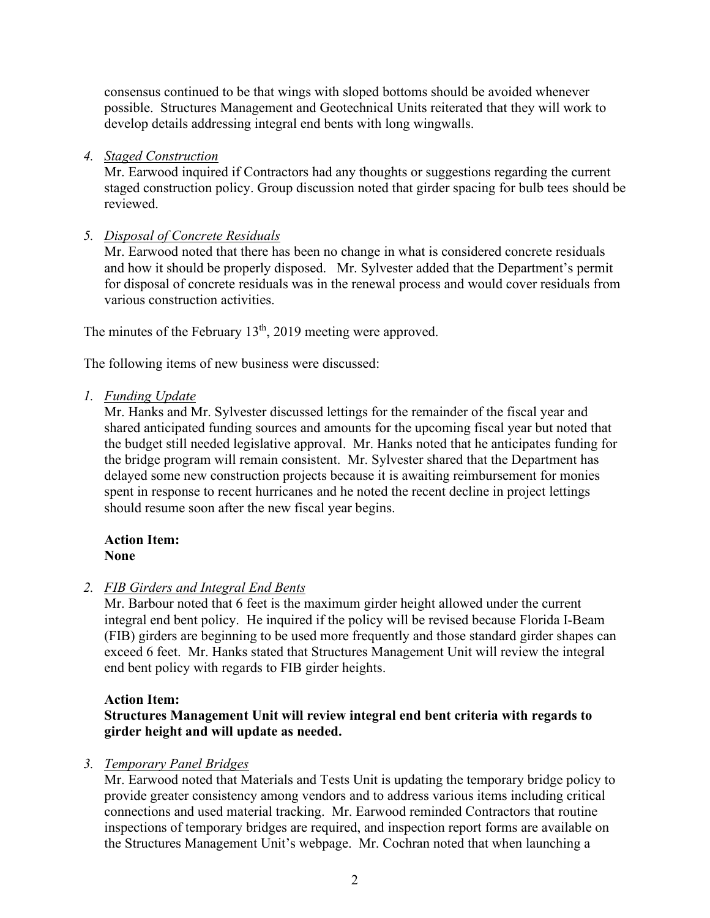consensus continued to be that wings with sloped bottoms should be avoided whenever possible. Structures Management and Geotechnical Units reiterated that they will work to develop details addressing integral end bents with long wingwalls.

*4. Staged Construction*

Mr. Earwood inquired if Contractors had any thoughts or suggestions regarding the current staged construction policy. Group discussion noted that girder spacing for bulb tees should be reviewed.

# *5. Disposal of Concrete Residuals*

Mr. Earwood noted that there has been no change in what is considered concrete residuals and how it should be properly disposed. Mr. Sylvester added that the Department's permit for disposal of concrete residuals was in the renewal process and would cover residuals from various construction activities.

The minutes of the February  $13<sup>th</sup>$ , 2019 meeting were approved.

The following items of new business were discussed:

*1. Funding Update*

Mr. Hanks and Mr. Sylvester discussed lettings for the remainder of the fiscal year and shared anticipated funding sources and amounts for the upcoming fiscal year but noted that the budget still needed legislative approval. Mr. Hanks noted that he anticipates funding for the bridge program will remain consistent. Mr. Sylvester shared that the Department has delayed some new construction projects because it is awaiting reimbursement for monies spent in response to recent hurricanes and he noted the recent decline in project lettings should resume soon after the new fiscal year begins.

### **Action Item: None**

*2. FIB Girders and Integral End Bents*

Mr. Barbour noted that 6 feet is the maximum girder height allowed under the current integral end bent policy. He inquired if the policy will be revised because Florida I-Beam (FIB) girders are beginning to be used more frequently and those standard girder shapes can exceed 6 feet. Mr. Hanks stated that Structures Management Unit will review the integral end bent policy with regards to FIB girder heights.

## **Action Item:**

# **Structures Management Unit will review integral end bent criteria with regards to girder height and will update as needed.**

## *3. Temporary Panel Bridges*

Mr. Earwood noted that Materials and Tests Unit is updating the temporary bridge policy to provide greater consistency among vendors and to address various items including critical connections and used material tracking. Mr. Earwood reminded Contractors that routine inspections of temporary bridges are required, and inspection report forms are available on the Structures Management Unit's webpage. Mr. Cochran noted that when launching a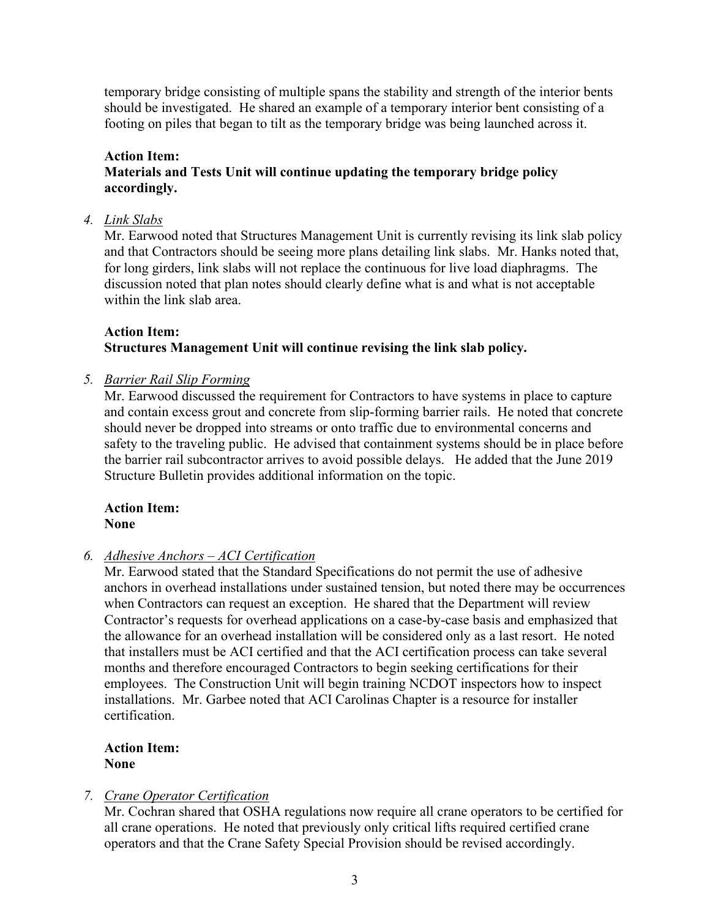temporary bridge consisting of multiple spans the stability and strength of the interior bents should be investigated. He shared an example of a temporary interior bent consisting of a footing on piles that began to tilt as the temporary bridge was being launched across it.

## **Action Item:**

**Materials and Tests Unit will continue updating the temporary bridge policy accordingly.**

### *4. Link Slabs*

Mr. Earwood noted that Structures Management Unit is currently revising its link slab policy and that Contractors should be seeing more plans detailing link slabs. Mr. Hanks noted that, for long girders, link slabs will not replace the continuous for live load diaphragms. The discussion noted that plan notes should clearly define what is and what is not acceptable within the link slab area.

## **Action Item: Structures Management Unit will continue revising the link slab policy.**

## *5. Barrier Rail Slip Forming*

Mr. Earwood discussed the requirement for Contractors to have systems in place to capture and contain excess grout and concrete from slip-forming barrier rails. He noted that concrete should never be dropped into streams or onto traffic due to environmental concerns and safety to the traveling public. He advised that containment systems should be in place before the barrier rail subcontractor arrives to avoid possible delays. He added that the June 2019 Structure Bulletin provides additional information on the topic.

#### **Action Item: None**

## *6. Adhesive Anchors – ACI Certification*

Mr. Earwood stated that the Standard Specifications do not permit the use of adhesive anchors in overhead installations under sustained tension, but noted there may be occurrences when Contractors can request an exception. He shared that the Department will review Contractor's requests for overhead applications on a case-by-case basis and emphasized that the allowance for an overhead installation will be considered only as a last resort. He noted that installers must be ACI certified and that the ACI certification process can take several months and therefore encouraged Contractors to begin seeking certifications for their employees. The Construction Unit will begin training NCDOT inspectors how to inspect installations. Mr. Garbee noted that ACI Carolinas Chapter is a resource for installer certification.

## **Action Item: None**

## *7. Crane Operator Certification*

Mr. Cochran shared that OSHA regulations now require all crane operators to be certified for all crane operations. He noted that previously only critical lifts required certified crane operators and that the Crane Safety Special Provision should be revised accordingly.